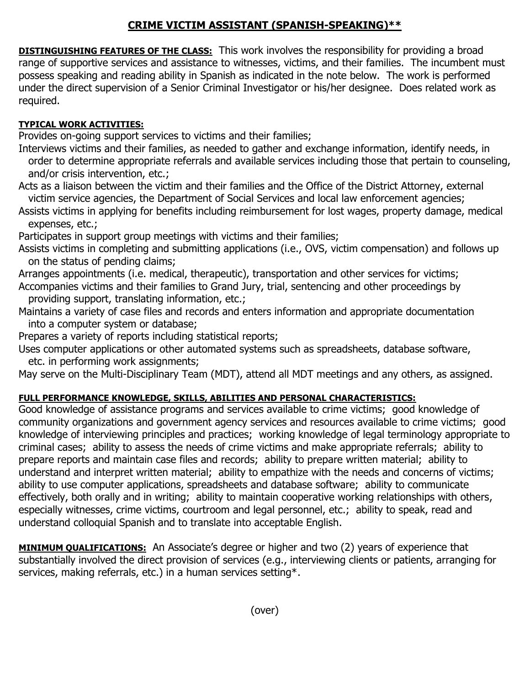## **CRIME VICTIM ASSISTANT (SPANISH-SPEAKING)\*\***

**DISTINGUISHING FEATURES OF THE CLASS:** This work involves the responsibility for providing a broad range of supportive services and assistance to witnesses, victims, and their families. The incumbent must possess speaking and reading ability in Spanish as indicated in the note below. The work is performed under the direct supervision of a Senior Criminal Investigator or his/her designee. Does related work as required.

## **TYPICAL WORK ACTIVITIES:**

Provides on-going support services to victims and their families;

Interviews victims and their families, as needed to gather and exchange information, identify needs, in order to determine appropriate referrals and available services including those that pertain to counseling, and/or crisis intervention, etc.;

Acts as a liaison between the victim and their families and the Office of the District Attorney, external victim service agencies, the Department of Social Services and local law enforcement agencies;

Assists victims in applying for benefits including reimbursement for lost wages, property damage, medical expenses, etc.;

Participates in support group meetings with victims and their families;

Assists victims in completing and submitting applications (i.e., OVS, victim compensation) and follows up on the status of pending claims;

Arranges appointments (i.e. medical, therapeutic), transportation and other services for victims; Accompanies victims and their families to Grand Jury, trial, sentencing and other proceedings by providing support, translating information, etc.;

Maintains a variety of case files and records and enters information and appropriate documentation into a computer system or database;

Prepares a variety of reports including statistical reports;

Uses computer applications or other automated systems such as spreadsheets, database software, etc. in performing work assignments;

May serve on the Multi-Disciplinary Team (MDT), attend all MDT meetings and any others, as assigned.

## **FULL PERFORMANCE KNOWLEDGE, SKILLS, ABILITIES AND PERSONAL CHARACTERISTICS:**

Good knowledge of assistance programs and services available to crime victims; good knowledge of community organizations and government agency services and resources available to crime victims; good knowledge of interviewing principles and practices; working knowledge of legal terminology appropriate to criminal cases; ability to assess the needs of crime victims and make appropriate referrals; ability to prepare reports and maintain case files and records; ability to prepare written material; ability to understand and interpret written material; ability to empathize with the needs and concerns of victims; ability to use computer applications, spreadsheets and database software; ability to communicate effectively, both orally and in writing; ability to maintain cooperative working relationships with others, especially witnesses, crime victims, courtroom and legal personnel, etc.; ability to speak, read and understand colloquial Spanish and to translate into acceptable English.

**MINIMUM QUALIFICATIONS:** An Associate's degree or higher and two (2) years of experience that substantially involved the direct provision of services (e.g., interviewing clients or patients, arranging for services, making referrals, etc.) in a human services setting\*.